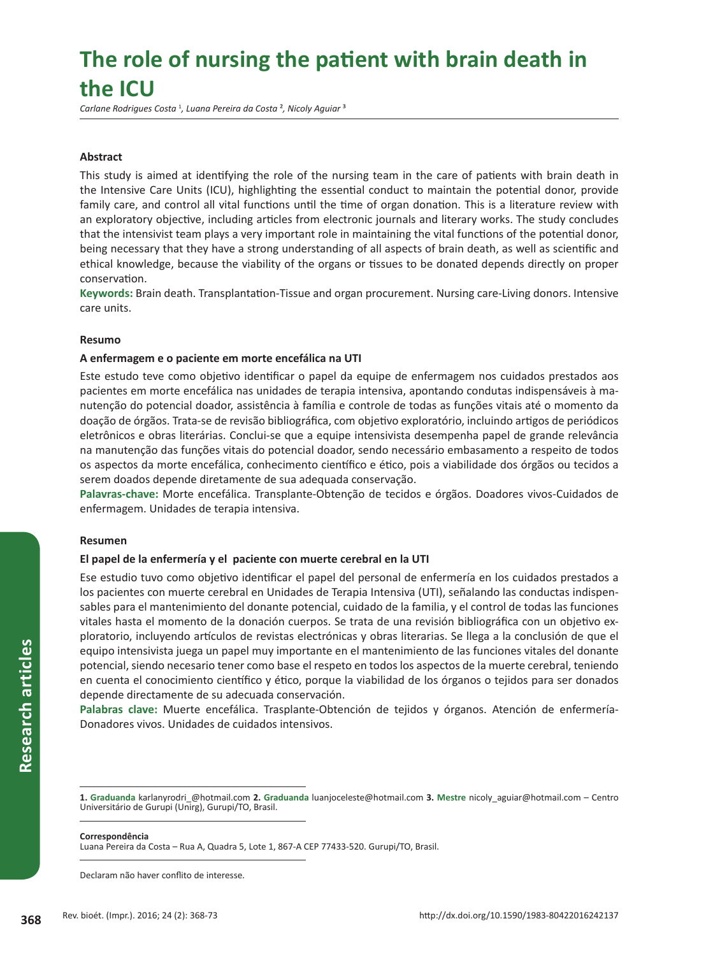# **The role of nursing the patient with brain death in the ICU**

*Carlane Rodrigues Costa* <sup>1</sup> *, Luana Pereira da Costa* ²*, Nicoly Aguiar* ³

# **Abstract**

This study is aimed at identifying the role of the nursing team in the care of patients with brain death in the Intensive Care Units (ICU), highlighting the essential conduct to maintain the potential donor, provide family care, and control all vital functions until the time of organ donation. This is a literature review with an exploratory objective, including articles from electronic journals and literary works. The study concludes that the intensivist team plays a very important role in maintaining the vital functions of the potential donor, being necessary that they have a strong understanding of all aspects of brain death, as well as scientific and ethical knowledge, because the viability of the organs or tissues to be donated depends directly on proper conservation.

**Keywords:** Brain death. Transplantation-Tissue and organ procurement. Nursing care-Living donors. Intensive care units.

## **Resumo**

## **A enfermagem e o paciente em morte encefálica na UTI**

Este estudo teve como objetivo identificar o papel da equipe de enfermagem nos cuidados prestados aos pacientes em morte encefálica nas unidades de terapia intensiva, apontando condutas indispensáveis à manutenção do potencial doador, assistência à família e controle de todas as funções vitais até o momento da doação de órgãos. Trata-se de revisão bibliográfica, com objetivo exploratório, incluindo artigos de periódicos eletrônicos e obras literárias. Conclui-se que a equipe intensivista desempenha papel de grande relevância na manutenção das funções vitais do potencial doador, sendo necessário embasamento a respeito de todos os aspectos da morte encefálica, conhecimento científico e ético, pois a viabilidade dos órgãos ou tecidos a serem doados depende diretamente de sua adequada conservação.

**Palavras-chave:** Morte encefálica. Transplante-Obtenção de tecidos e órgãos. Doadores vivos-Cuidados de enfermagem. Unidades de terapia intensiva.

#### **Resumen**

# **El papel de la enfermería y el paciente con muerte cerebral en la UTI**

Ese estudio tuvo como objetivo identificar el papel del personal de enfermería en los cuidados prestados a los pacientes con muerte cerebral en Unidades de Terapia Intensiva (UTI), señalando las conductas indispensables para el mantenimiento del donante potencial, cuidado de la familia, y el control de todas las funciones vitales hasta el momento de la donación cuerpos. Se trata de una revisión bibliográfica con un objetivo exploratorio, incluyendo artículos de revistas electrónicas y obras literarias. Se llega a la conclusión de que el equipo intensivista juega un papel muy importante en el mantenimiento de las funciones vitales del donante potencial, siendo necesario tener como base el respeto en todos los aspectos de la muerte cerebral, teniendo en cuenta el conocimiento científico y ético, porque la viabilidad de los órganos o tejidos para ser donados depende directamente de su adecuada conservación.

**Palabras clave:** Muerte encefálica. Trasplante-Obtención de tejidos y órganos. Atención de enfermería-Donadores vivos. Unidades de cuidados intensivos.

#### **Correspondência**

Luana Pereira da Costa – Rua A, Quadra 5, Lote 1, 867-A CEP 77433-520. Gurupi/TO, Brasil.

Declaram não haver conflito de interesse.

**<sup>1.</sup> Graduanda** karlanyrodri\_@hotmail.com **2. Graduanda** luanjoceleste@hotmail.com **3. Mestre** nicoly\_aguiar@hotmail.com – Centro Universitário de Gurupi (Unirg), Gurupi/TO, Brasil.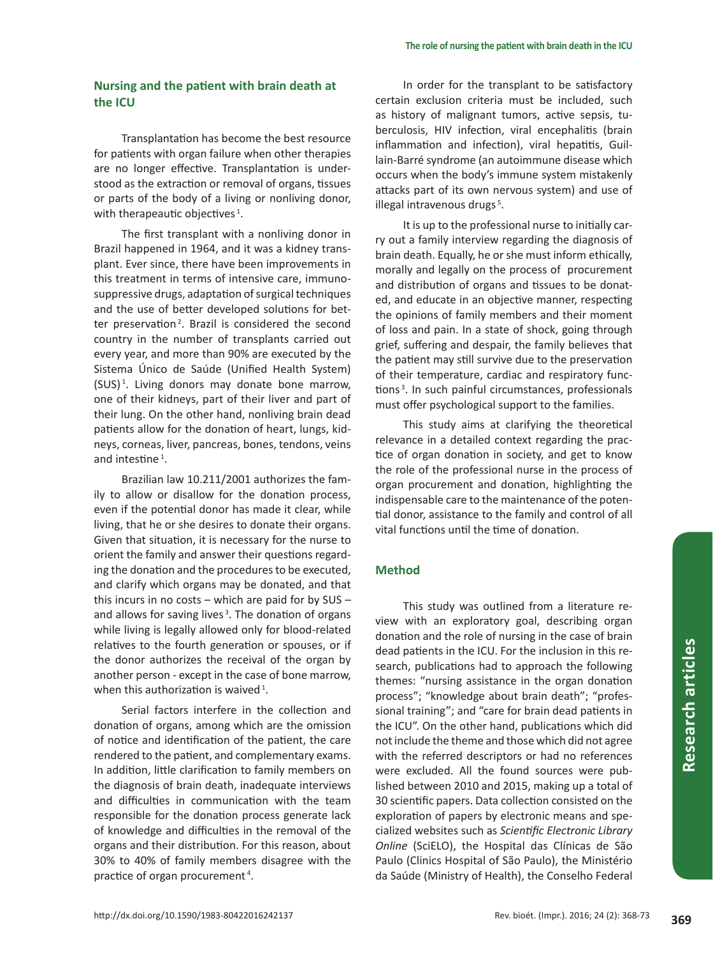# **Nursing and the patient with brain death at the ICU**

Transplantation has become the best resource for patients with organ failure when other therapies are no longer effective. Transplantation is understood as the extraction or removal of organs, tissues or parts of the body of a living or nonliving donor, with therapeautic objectives  $^1$ .

The first transplant with a nonliving donor in Brazil happened in 1964, and it was a kidney transplant. Ever since, there have been improvements in this treatment in terms of intensive care, immunosuppressive drugs, adaptation of surgical techniques and the use of better developed solutions for better preservation<sup>2</sup>. Brazil is considered the second country in the number of transplants carried out every year, and more than 90% are executed by the Sistema Único de Saúde (Unified Health System) (SUS) 1 . Living donors may donate bone marrow, one of their kidneys, part of their liver and part of their lung. On the other hand, nonliving brain dead patients allow for the donation of heart, lungs, kidneys, corneas, liver, pancreas, bones, tendons, veins and intestine<sup>1</sup>.

Brazilian law 10.211/2001 authorizes the family to allow or disallow for the donation process, even if the potential donor has made it clear, while living, that he or she desires to donate their organs. Given that situation, it is necessary for the nurse to orient the family and answer their questions regarding the donation and the procedures to be executed, and clarify which organs may be donated, and that this incurs in no costs – which are paid for by SUS – and allows for saving lives<sup>3</sup>. The donation of organs while living is legally allowed only for blood-related relatives to the fourth generation or spouses, or if the donor authorizes the receival of the organ by another person - except in the case of bone marrow, when this authorization is waived<sup>1</sup>.

Serial factors interfere in the collection and donation of organs, among which are the omission of notice and identification of the patient, the care rendered to the patient, and complementary exams. In addition, little clarification to family members on the diagnosis of brain death, inadequate interviews and difficulties in communication with the team responsible for the donation process generate lack of knowledge and difficulties in the removal of the organs and their distribution. For this reason, about 30% to 40% of family members disagree with the practice of organ procurement<sup>4</sup>.

In order for the transplant to be satisfactory certain exclusion criteria must be included, such as history of malignant tumors, active sepsis, tuberculosis, HIV infection, viral encephalitis (brain inflammation and infection), viral hepatitis, Guillain-Barré syndrome (an autoimmune disease which occurs when the body's immune system mistakenly attacks part of its own nervous system) and use of illegal intravenous drugs<sup>5</sup>.

It is up to the professional nurse to initially carry out a family interview regarding the diagnosis of brain death. Equally, he or she must inform ethically, morally and legally on the process of procurement and distribution of organs and tissues to be donated, and educate in an objective manner, respecting the opinions of family members and their moment of loss and pain. In a state of shock, going through grief, suffering and despair, the family believes that the patient may still survive due to the preservation of their temperature, cardiac and respiratory functions<sup>3</sup>. In such painful circumstances, professionals must offer psychological support to the families.

This study aims at clarifying the theoretical relevance in a detailed context regarding the practice of organ donation in society, and get to know the role of the professional nurse in the process of organ procurement and donation, highlighting the indispensable care to the maintenance of the potential donor, assistance to the family and control of all vital functions until the time of donation.

# **Method**

This study was outlined from a literature review with an exploratory goal, describing organ donation and the role of nursing in the case of brain dead patients in the ICU. For the inclusion in this research, publications had to approach the following themes: "nursing assistance in the organ donation process"; "knowledge about brain death"; "professional training"; and "care for brain dead patients in the ICU". On the other hand, publications which did not include the theme and those which did not agree with the referred descriptors or had no references were excluded. All the found sources were published between 2010 and 2015, making up a total of 30 scientific papers. Data collection consisted on the exploration of papers by electronic means and specialized websites such as *Scientific Electronic Library Online* (SciELO), the Hospital das Clínicas de São Paulo (Clinics Hospital of São Paulo), the Ministério da Saúde (Ministry of Health), the Conselho Federal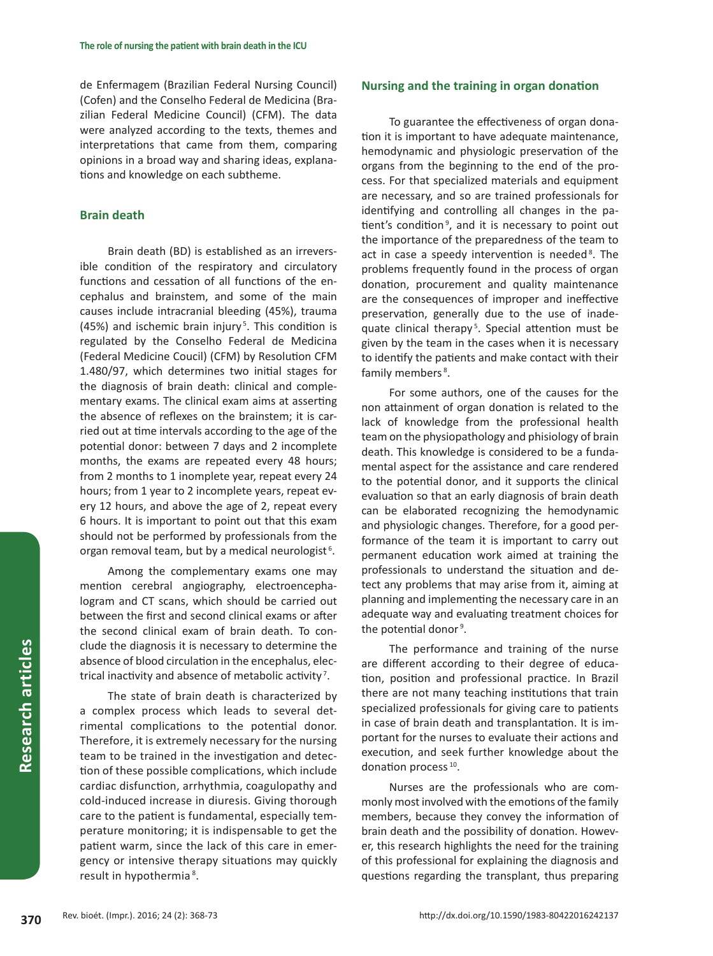de Enfermagem (Brazilian Federal Nursing Council) (Cofen) and the Conselho Federal de Medicina (Brazilian Federal Medicine Council) (CFM). The data were analyzed according to the texts, themes and interpretations that came from them, comparing opinions in a broad way and sharing ideas, explanations and knowledge on each subtheme.

## **Brain death**

Brain death (BD) is established as an irreversible condition of the respiratory and circulatory functions and cessation of all functions of the encephalus and brainstem, and some of the main causes include intracranial bleeding (45%), trauma (45%) and ischemic brain injury<sup>5</sup>. This condition is regulated by the Conselho Federal de Medicina (Federal Medicine Coucil) (CFM) by Resolution CFM 1.480/97, which determines two initial stages for the diagnosis of brain death: clinical and complementary exams. The clinical exam aims at asserting the absence of reflexes on the brainstem; it is carried out at time intervals according to the age of the potential donor: between 7 days and 2 incomplete months, the exams are repeated every 48 hours; from 2 months to 1 inomplete year, repeat every 24 hours; from 1 year to 2 incomplete years, repeat every 12 hours, and above the age of 2, repeat every 6 hours. It is important to point out that this exam should not be performed by professionals from the organ removal team, but by a medical neurologist<sup>6</sup>.

Among the complementary exams one may mention cerebral angiography, electroencephalogram and CT scans, which should be carried out between the first and second clinical exams or after the second clinical exam of brain death. To conclude the diagnosis it is necessary to determine the absence of blood circulation in the encephalus, electrical inactivity and absence of metabolic activity <sup>7</sup> .

The state of brain death is characterized by a complex process which leads to several detrimental complications to the potential donor. Therefore, it is extremely necessary for the nursing team to be trained in the investigation and detection of these possible complications, which include cardiac disfunction, arrhythmia, coagulopathy and cold-induced increase in diuresis. Giving thorough care to the patient is fundamental, especially temperature monitoring; it is indispensable to get the patient warm, since the lack of this care in emergency or intensive therapy situations may quickly result in hypothermia<sup>8</sup>.

# **Nursing and the training in organ donation**

To guarantee the effectiveness of organ donation it is important to have adequate maintenance, hemodynamic and physiologic preservation of the organs from the beginning to the end of the process. For that specialized materials and equipment are necessary, and so are trained professionals for identifying and controlling all changes in the patient's condition<sup>9</sup>, and it is necessary to point out the importance of the preparedness of the team to act in case a speedy intervention is needed<sup>8</sup>. The problems frequently found in the process of organ donation, procurement and quality maintenance are the consequences of improper and ineffective preservation, generally due to the use of inadequate clinical therapy<sup>5</sup>. Special attention must be given by the team in the cases when it is necessary to identify the patients and make contact with their family members<sup>8</sup>.

For some authors, one of the causes for the non attainment of organ donation is related to the lack of knowledge from the professional health team on the physiopathology and phisiology of brain death. This knowledge is considered to be a fundamental aspect for the assistance and care rendered to the potential donor, and it supports the clinical evaluation so that an early diagnosis of brain death can be elaborated recognizing the hemodynamic and physiologic changes. Therefore, for a good performance of the team it is important to carry out permanent education work aimed at training the professionals to understand the situation and detect any problems that may arise from it, aiming at planning and implementing the necessary care in an adequate way and evaluating treatment choices for the potential donor<sup>9</sup>.

The performance and training of the nurse are different according to their degree of education, position and professional practice. In Brazil there are not many teaching institutions that train specialized professionals for giving care to patients in case of brain death and transplantation. It is important for the nurses to evaluate their actions and execution, and seek further knowledge about the donation process 10.

Nurses are the professionals who are commonly most involved with the emotions of the family members, because they convey the information of brain death and the possibility of donation. However, this research highlights the need for the training of this professional for explaining the diagnosis and questions regarding the transplant, thus preparing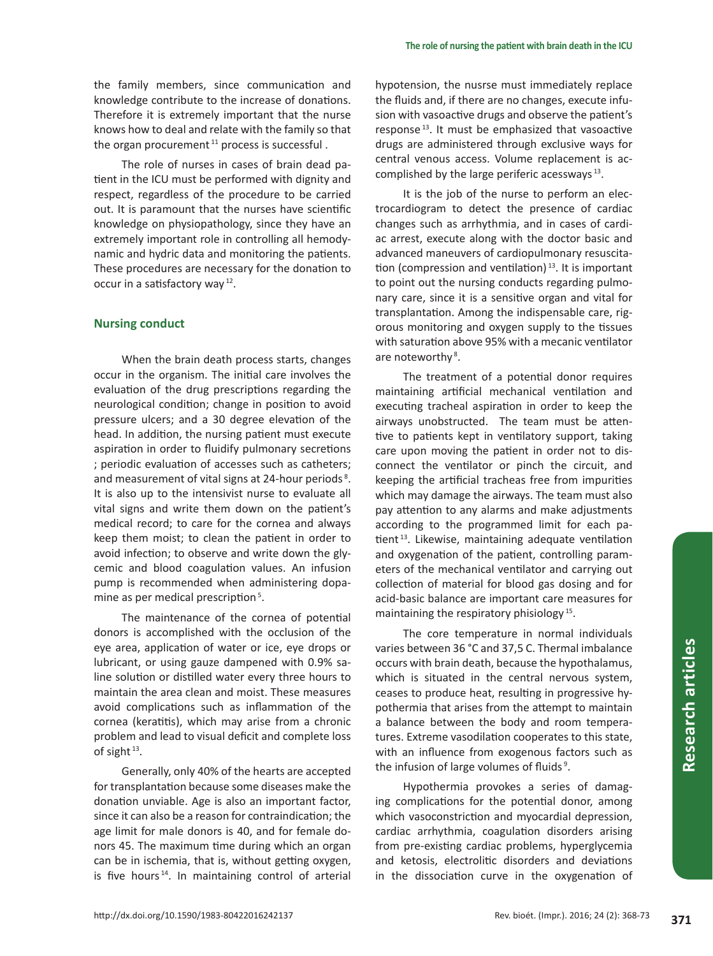the family members, since communication and knowledge contribute to the increase of donations. Therefore it is extremely important that the nurse knows how to deal and relate with the family so that the organ procurement<sup>11</sup> process is successful.

The role of nurses in cases of brain dead patient in the ICU must be performed with dignity and respect, regardless of the procedure to be carried out. It is paramount that the nurses have scientific knowledge on physiopathology, since they have an extremely important role in controlling all hemodynamic and hydric data and monitoring the patients. These procedures are necessary for the donation to occur in a satisfactory way 12.

# **Nursing conduct**

When the brain death process starts, changes occur in the organism. The initial care involves the evaluation of the drug prescriptions regarding the neurological condition; change in position to avoid pressure ulcers; and a 30 degree elevation of the head. In addition, the nursing patient must execute aspiration in order to fluidify pulmonary secretions ; periodic evaluation of accesses such as catheters; and measurement of vital signs at 24-hour periods<sup>8</sup>. It is also up to the intensivist nurse to evaluate all vital signs and write them down on the patient's medical record; to care for the cornea and always keep them moist; to clean the patient in order to avoid infection; to observe and write down the glycemic and blood coagulation values. An infusion pump is recommended when administering dopamine as per medical prescription<sup>5</sup>.

The maintenance of the cornea of potential donors is accomplished with the occlusion of the eye area, application of water or ice, eye drops or lubricant, or using gauze dampened with 0.9% saline solution or distilled water every three hours to maintain the area clean and moist. These measures avoid complications such as inflammation of the cornea (keratitis), which may arise from a chronic problem and lead to visual deficit and complete loss of sight  $13$ .

Generally, only 40% of the hearts are accepted for transplantation because some diseases make the donation unviable. Age is also an important factor, since it can also be a reason for contraindication; the age limit for male donors is 40, and for female donors 45. The maximum time during which an organ can be in ischemia, that is, without getting oxygen, is five hours<sup> $14$ </sup>. In maintaining control of arterial

hypotension, the nusrse must immediately replace the fluids and, if there are no changes, execute infusion with vasoactive drugs and observe the patient's response 13. It must be emphasized that vasoactive drugs are administered through exclusive ways for central venous access. Volume replacement is accomplished by the large periferic acessways 13.

It is the job of the nurse to perform an electrocardiogram to detect the presence of cardiac changes such as arrhythmia, and in cases of cardiac arrest, execute along with the doctor basic and advanced maneuvers of cardiopulmonary resuscitation (compression and ventilation)<sup>13</sup>. It is important to point out the nursing conducts regarding pulmonary care, since it is a sensitive organ and vital for transplantation. Among the indispensable care, rigorous monitoring and oxygen supply to the tissues with saturation above 95% with a mecanic ventilator are noteworthy<sup>8</sup>.

The treatment of a potential donor requires maintaining artificial mechanical ventilation and executing tracheal aspiration in order to keep the airways unobstructed. The team must be attentive to patients kept in ventilatory support, taking care upon moving the patient in order not to disconnect the ventilator or pinch the circuit, and keeping the artificial tracheas free from impurities which may damage the airways. The team must also pay attention to any alarms and make adjustments according to the programmed limit for each patient<sup>13</sup>. Likewise, maintaining adequate ventilation and oxygenation of the patient, controlling parameters of the mechanical ventilator and carrying out collection of material for blood gas dosing and for acid-basic balance are important care measures for maintaining the respiratory phisiology<sup>15</sup>.

The core temperature in normal individuals varies between 36 °C and 37,5 C. Thermal imbalance occurs with brain death, because the hypothalamus, which is situated in the central nervous system, ceases to produce heat, resulting in progressive hypothermia that arises from the attempt to maintain a balance between the body and room temperatures. Extreme vasodilation cooperates to this state, with an influence from exogenous factors such as the infusion of large volumes of fluids<sup>9</sup>.

Hypothermia provokes a series of damaging complications for the potential donor, among which vasoconstriction and myocardial depression, cardiac arrhythmia, coagulation disorders arising from pre-existing cardiac problems, hyperglycemia and ketosis, electrolitic disorders and deviations in the dissociation curve in the oxygenation of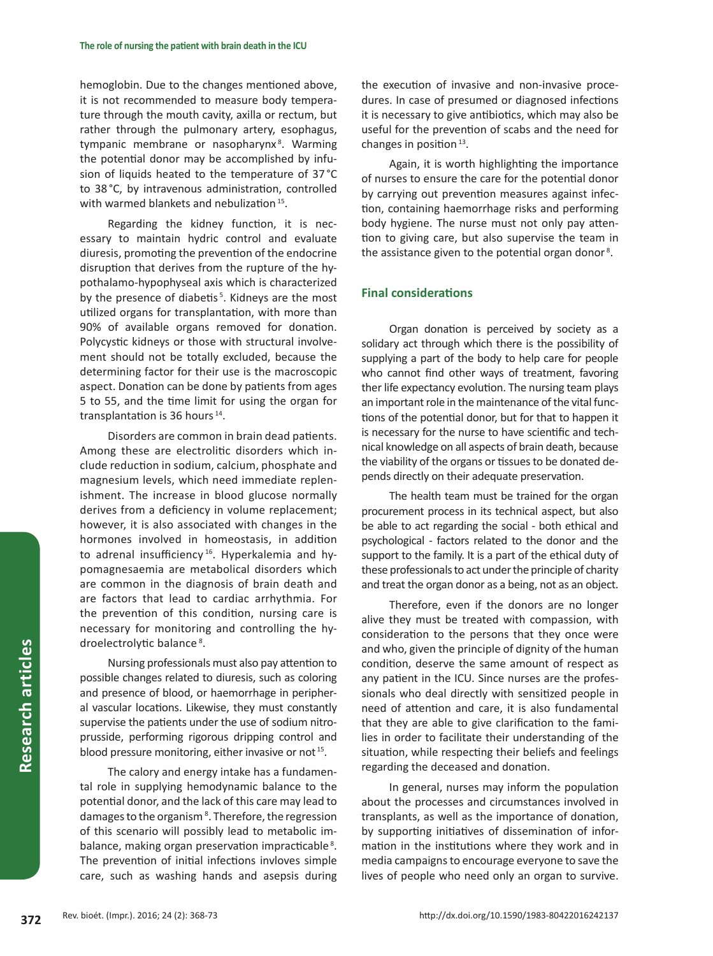hemoglobin. Due to the changes mentioned above, it is not recommended to measure body temperature through the mouth cavity, axilla or rectum, but rather through the pulmonary artery, esophagus, tympanic membrane or nasopharynx<sup>8</sup>. Warming the potential donor may be accomplished by infusion of liquids heated to the temperature of 37 °C to 38 °C, by intravenous administration, controlled with warmed blankets and nebulization<sup>15</sup>.

Regarding the kidney function, it is necessary to maintain hydric control and evaluate diuresis, promoting the prevention of the endocrine disruption that derives from the rupture of the hypothalamo-hypophyseal axis which is characterized by the presence of diabetis<sup>5</sup>. Kidneys are the most utilized organs for transplantation, with more than 90% of available organs removed for donation. Polycystic kidneys or those with structural involvement should not be totally excluded, because the determining factor for their use is the macroscopic aspect. Donation can be done by patients from ages 5 to 55, and the time limit for using the organ for transplantation is 36 hours  $14$ .

Disorders are common in brain dead patients. Among these are electrolitic disorders which include reduction in sodium, calcium, phosphate and magnesium levels, which need immediate replenishment. The increase in blood glucose normally derives from a deficiency in volume replacement; however, it is also associated with changes in the hormones involved in homeostasis, in addition to adrenal insufficiency<sup>16</sup>. Hyperkalemia and hypomagnesaemia are metabolical disorders which are common in the diagnosis of brain death and are factors that lead to cardiac arrhythmia. For the prevention of this condition, nursing care is necessary for monitoring and controlling the hydroelectrolytic balance<sup>8</sup>.

Nursing professionals must also pay attention to possible changes related to diuresis, such as coloring and presence of blood, or haemorrhage in peripheral vascular locations. Likewise, they must constantly supervise the patients under the use of sodium nitroprusside, performing rigorous dripping control and blood pressure monitoring, either invasive or not<sup>15</sup>.

The calory and energy intake has a fundamental role in supplying hemodynamic balance to the potential donor, and the lack of this care may lead to damages to the organism<sup>8</sup>. Therefore, the regression of this scenario will possibly lead to metabolic imbalance, making organ preservation impracticable<sup>8</sup>. The prevention of initial infections invloves simple care, such as washing hands and asepsis during

the execution of invasive and non-invasive procedures. In case of presumed or diagnosed infections it is necessary to give antibiotics, which may also be useful for the prevention of scabs and the need for changes in position $13$ .

Again, it is worth highlighting the importance of nurses to ensure the care for the potential donor by carrying out prevention measures against infection, containing haemorrhage risks and performing body hygiene. The nurse must not only pay attention to giving care, but also supervise the team in the assistance given to the potential organ donor<sup>8</sup>.

# **Final considerations**

Organ donation is perceived by society as a solidary act through which there is the possibility of supplying a part of the body to help care for people who cannot find other ways of treatment, favoring ther life expectancy evolution. The nursing team plays an important role in the maintenance of the vital functions of the potential donor, but for that to happen it is necessary for the nurse to have scientific and technical knowledge on all aspects of brain death, because the viability of the organs or tissues to be donated depends directly on their adequate preservation.

The health team must be trained for the organ procurement process in its technical aspect, but also be able to act regarding the social - both ethical and psychological - factors related to the donor and the support to the family. It is a part of the ethical duty of these professionals to act under the principle of charity and treat the organ donor as a being, not as an object.

Therefore, even if the donors are no longer alive they must be treated with compassion, with consideration to the persons that they once were and who, given the principle of dignity of the human condition, deserve the same amount of respect as any patient in the ICU. Since nurses are the professionals who deal directly with sensitized people in need of attention and care, it is also fundamental that they are able to give clarification to the families in order to facilitate their understanding of the situation, while respecting their beliefs and feelings regarding the deceased and donation.

In general, nurses may inform the population about the processes and circumstances involved in transplants, as well as the importance of donation, by supporting initiatives of dissemination of information in the institutions where they work and in media campaigns to encourage everyone to save the lives of people who need only an organ to survive.